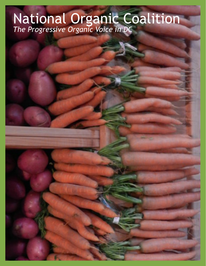## National Organic Coalition *The Progressive Organic Voice in DC*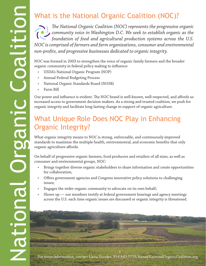## What is the National Organic Coalition (NOC)?

*The National Organic Coalition (NOC) represents the progressive organic community voice in Washington D.C. We seek to establish organic as the foundation of food and agricultural production systems across the U.S. NOC is comprised of farmers and farm organizations, consumer and environmental non-profits, and progressive businesses dedicated to organic integrity.*

NOC was formed in 2003 to strengthen the voice of organic family farmers and the broader organic community in federal policy making to influence:

- USDA's National Organic Program (NOP)
- Annual Federal Budgeting Process
- National Organic Standards Board (NOSB)
- Farm Bill

Our power and influence is evident. The NOC brand is well-known, well-respected, and affords us increased access to government decision-makers. As a strong and trusted coalition, we push for organic integrity and facilitate long-lasting change in support of organic agriculture.

## What Unique Role Does NOC Play in Enhancing Organic Integrity?

What organic integrity means to NOC is strong, enforceable, and continuously improved standards to maximize the multiple health, environmental, and economic benefits that only organic agriculture affords.

On behalf of progressive organic farmers, food producers and retailers of all sizes, as well as consumer and environmental groups, NOC:

- Brings together diverse organic stakeholders to share information and create opportunities for collaboration;
- Offers government agencies and Congress innovative policy solutions to challenging issues;
- Engages the wider organic community to advocate on its own behalf;
- Shows up  $-$  our members testify at federal government hearings and agency meetings across the U.S. each time organic issues are discussed or organic integrity is threatened.